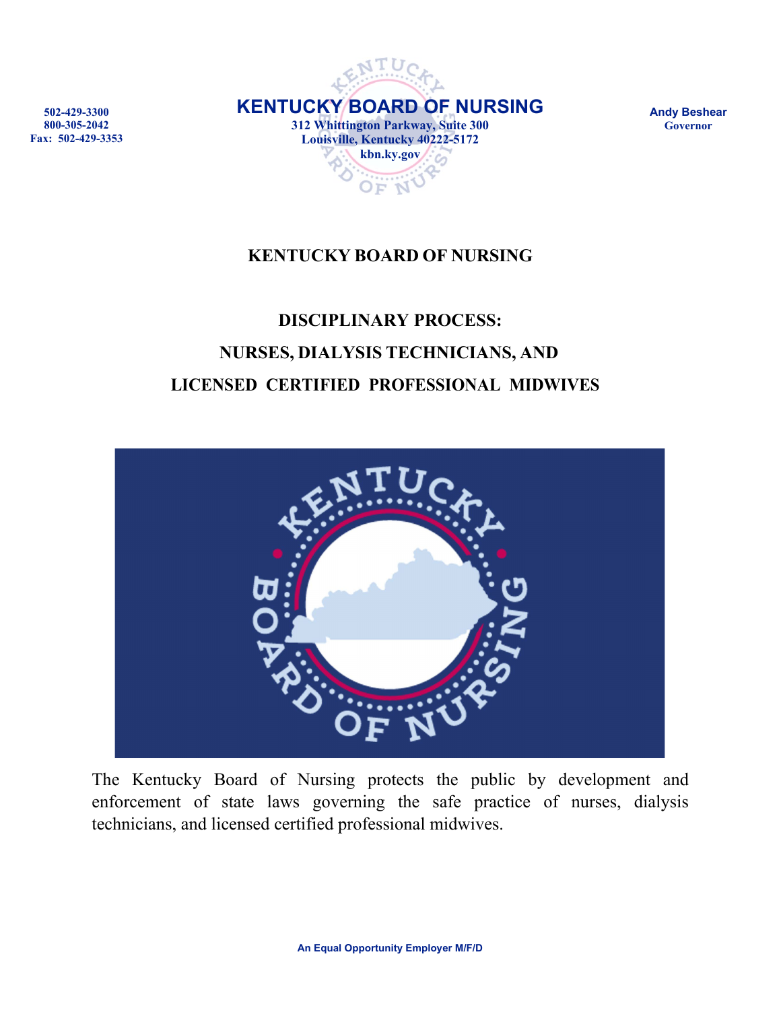



**Andy Beshear Governor**

# **KENTUCKY BOARD OF NURSING**

# **DISCIPLINARY PROCESS: NURSES, DIALYSIS TECHNICIANS, AND LICENSED CERTIFIED PROFESSIONAL MIDWIVES**



The Kentucky Board of Nursing protects the public by development and enforcement of state laws governing the safe practice of nurses, dialysis technicians, and licensed certified professional midwives.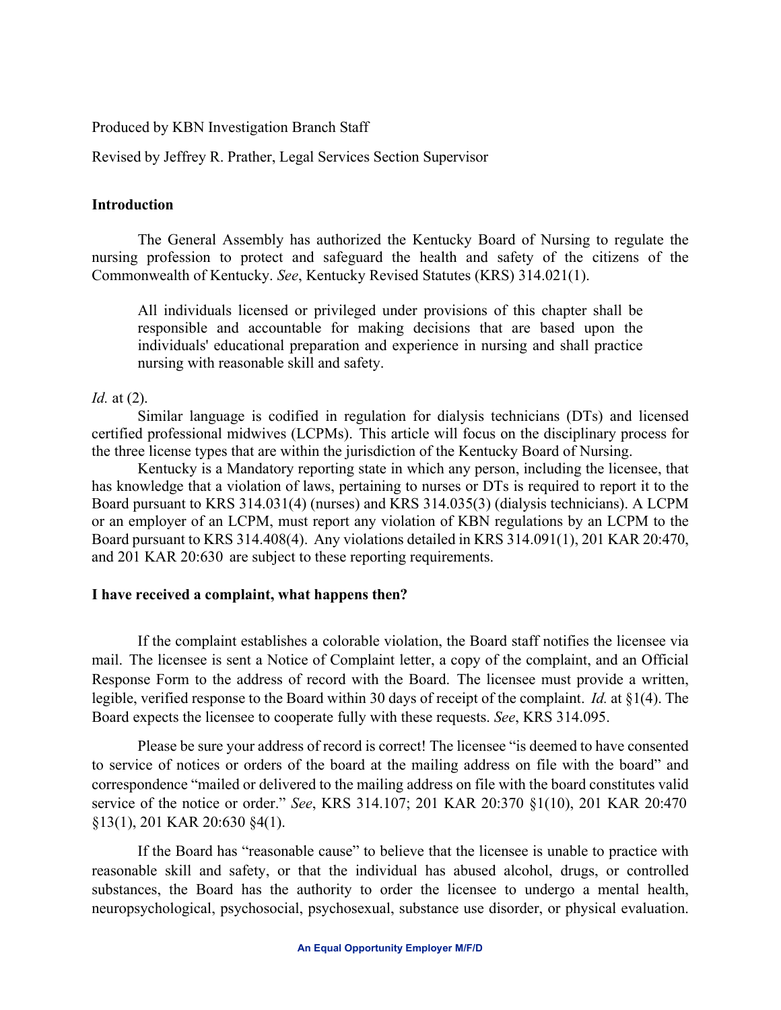Produced by KBN Investigation Branch Staff

Revised by Jeffrey R. Prather, Legal Services Section Supervisor

### **Introduction**

The General Assembly has authorized the Kentucky Board of Nursing to regulate the nursing profession to protect and safeguard the health and safety of the citizens of the Commonwealth of Kentucky. *See*, Kentucky Revised Statutes (KRS) 314.021(1).

All individuals licensed or privileged under provisions of this chapter shall be responsible and accountable for making decisions that are based upon the individuals' educational preparation and experience in nursing and shall practice nursing with reasonable skill and safety.

## *Id.* at (2).

Similar language is codified in regulation for dialysis technicians (DTs) and licensed certified professional midwives (LCPMs). This article will focus on the disciplinary process for the three license types that are within the jurisdiction of the Kentucky Board of Nursing.

Kentucky is a Mandatory reporting state in which any person, including the licensee, that has knowledge that a violation of laws, pertaining to nurses or DTs is required to report it to the Board pursuant to KRS 314.031(4) (nurses) and KRS 314.035(3) (dialysis technicians). A LCPM or an employer of an LCPM, must report any violation of KBN regulations by an LCPM to the Board pursuant to KRS 314.408(4). Any violations detailed in KRS 314.091(1), 201 KAR 20:470, and 201 KAR 20:630 are subject to these reporting requirements.

## **I have received a complaint, what happens then?**

If the complaint establishes a colorable violation, the Board staff notifies the licensee via mail. The licensee is sent a Notice of Complaint letter, a copy of the complaint, and an Official Response Form to the address of record with the Board. The licensee must provide a written, legible, verified response to the Board within 30 days of receipt of the complaint. *Id.* at §1(4). The Board expects the licensee to cooperate fully with these requests. *See*, KRS 314.095.

Please be sure your address of record is correct! The licensee "is deemed to have consented to service of notices or orders of the board at the mailing address on file with the board" and correspondence "mailed or delivered to the mailing address on file with the board constitutes valid service of the notice or order." *See*, KRS 314.107; 201 KAR 20:370 §1(10), 201 KAR 20:470 §13(1), 201 KAR 20:630 §4(1).

If the Board has "reasonable cause" to believe that the licensee is unable to practice with reasonable skill and safety, or that the individual has abused alcohol, drugs, or controlled substances, the Board has the authority to order the licensee to undergo a mental health, neuropsychological, psychosocial, psychosexual, substance use disorder, or physical evaluation.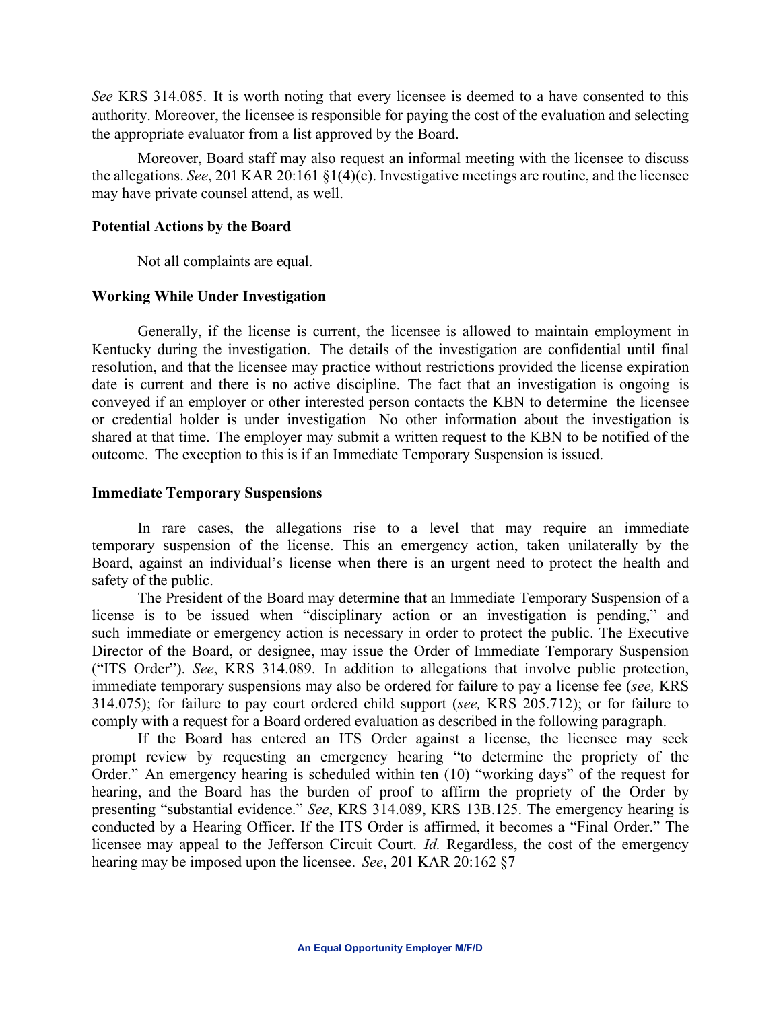*See* KRS 314.085. It is worth noting that every licensee is deemed to a have consented to this authority. Moreover, the licensee is responsible for paying the cost of the evaluation and selecting the appropriate evaluator from a list approved by the Board.

Moreover, Board staff may also request an informal meeting with the licensee to discuss the allegations. *See*, 201 KAR 20:161 §1(4)(c). Investigative meetings are routine, and the licensee may have private counsel attend, as well.

#### **Potential Actions by the Board**

Not all complaints are equal.

## **Working While Under Investigation**

Generally, if the license is current, the licensee is allowed to maintain employment in Kentucky during the investigation. The details of the investigation are confidential until final resolution, and that the licensee may practice without restrictions provided the license expiration date is current and there is no active discipline. The fact that an investigation is ongoing is conveyed if an employer or other interested person contacts the KBN to determine the licensee or credential holder is under investigation No other information about the investigation is shared at that time. The employer may submit a written request to the KBN to be notified of the outcome. The exception to this is if an Immediate Temporary Suspension is issued.

#### **Immediate Temporary Suspensions**

In rare cases, the allegations rise to a level that may require an immediate temporary suspension of the license. This an emergency action, taken unilaterally by the Board, against an individual's license when there is an urgent need to protect the health and safety of the public.

The President of the Board may determine that an Immediate Temporary Suspension of a license is to be issued when "disciplinary action or an investigation is pending," and such immediate or emergency action is necessary in order to protect the public. The Executive Director of the Board, or designee, may issue the Order of Immediate Temporary Suspension ("ITS Order"). *See*, KRS 314.089. In addition to allegations that involve public protection, immediate temporary suspensions may also be ordered for failure to pay a license fee (*see,* KRS 314.075); for failure to pay court ordered child support (*see,* KRS 205.712); or for failure to comply with a request for a Board ordered evaluation as described in the following paragraph.

If the Board has entered an ITS Order against a license, the licensee may seek prompt review by requesting an emergency hearing "to determine the propriety of the Order." An emergency hearing is scheduled within ten (10) "working days" of the request for hearing, and the Board has the burden of proof to affirm the propriety of the Order by presenting "substantial evidence." *See*, KRS 314.089, KRS 13B.125. The emergency hearing is conducted by a Hearing Officer. If the ITS Order is affirmed, it becomes a "Final Order." The licensee may appeal to the Jefferson Circuit Court. *Id.* Regardless, the cost of the emergency hearing may be imposed upon the licensee. *See*, 201 KAR 20:162 §7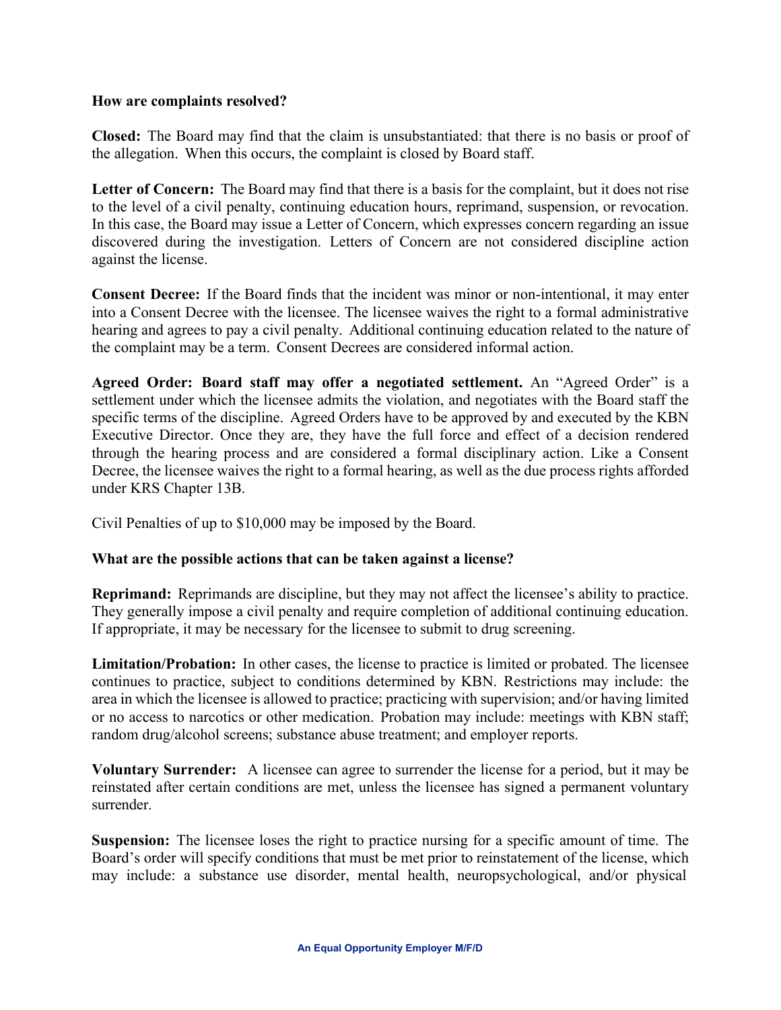#### **How are complaints resolved?**

**Closed:** The Board may find that the claim is unsubstantiated: that there is no basis or proof of the allegation. When this occurs, the complaint is closed by Board staff.

**Letter of Concern:** The Board may find that there is a basis for the complaint, but it does not rise to the level of a civil penalty, continuing education hours, reprimand, suspension, or revocation. In this case, the Board may issue a Letter of Concern, which expresses concern regarding an issue discovered during the investigation. Letters of Concern are not considered discipline action against the license.

**Consent Decree:** If the Board finds that the incident was minor or non-intentional, it may enter into a Consent Decree with the licensee. The licensee waives the right to a formal administrative hearing and agrees to pay a civil penalty. Additional continuing education related to the nature of the complaint may be a term. Consent Decrees are considered informal action.

**Agreed Order: Board staff may offer a negotiated settlement.** An "Agreed Order" is a settlement under which the licensee admits the violation, and negotiates with the Board staff the specific terms of the discipline. Agreed Orders have to be approved by and executed by the KBN Executive Director. Once they are, they have the full force and effect of a decision rendered through the hearing process and are considered a formal disciplinary action. Like a Consent Decree, the licensee waives the right to a formal hearing, as well as the due process rights afforded under KRS Chapter 13B.

Civil Penalties of up to \$10,000 may be imposed by the Board.

## **What are the possible actions that can be taken against a license?**

**Reprimand:** Reprimands are discipline, but they may not affect the licensee's ability to practice. They generally impose a civil penalty and require completion of additional continuing education. If appropriate, it may be necessary for the licensee to submit to drug screening.

**Limitation/Probation:** In other cases, the license to practice is limited or probated. The licensee continues to practice, subject to conditions determined by KBN. Restrictions may include: the area in which the licensee is allowed to practice; practicing with supervision; and/or having limited or no access to narcotics or other medication. Probation may include: meetings with KBN staff; random drug/alcohol screens; substance abuse treatment; and employer reports.

**Voluntary Surrender:** A licensee can agree to surrender the license for a period, but it may be reinstated after certain conditions are met, unless the licensee has signed a permanent voluntary surrender.

**Suspension:** The licensee loses the right to practice nursing for a specific amount of time. The Board's order will specify conditions that must be met prior to reinstatement of the license, which may include: a substance use disorder, mental health, neuropsychological, and/or physical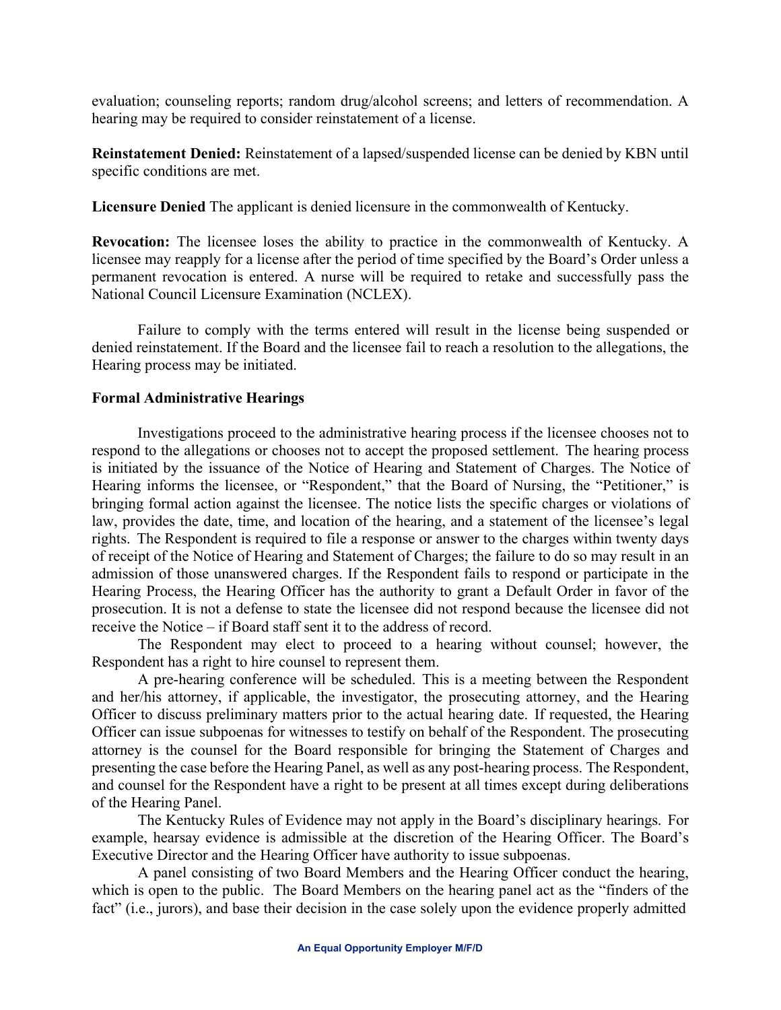evaluation; counseling reports; random drug/alcohol screens; and letters of recommendation. A hearing may be required to consider reinstatement of a license.

**Reinstatement Denied:** Reinstatement of a lapsed/suspended license can be denied by KBN until specific conditions are met.

**Licensure Denied** The applicant is denied licensure in the commonwealth of Kentucky.

**Revocation:** The licensee loses the ability to practice in the commonwealth of Kentucky. A licensee may reapply for a license after the period of time specified by the Board's Order unless a permanent revocation is entered. A nurse will be required to retake and successfully pass the National Council Licensure Examination (NCLEX).

Failure to comply with the terms entered will result in the license being suspended or denied reinstatement. If the Board and the licensee fail to reach a resolution to the allegations, the Hearing process may be initiated.

## **Formal Administrative Hearings**

Investigations proceed to the administrative hearing process if the licensee chooses not to respond to the allegations or chooses not to accept the proposed settlement. The hearing process is initiated by the issuance of the Notice of Hearing and Statement of Charges. The Notice of Hearing informs the licensee, or "Respondent," that the Board of Nursing, the "Petitioner," is bringing formal action against the licensee. The notice lists the specific charges or violations of law, provides the date, time, and location of the hearing, and a statement of the licensee's legal rights. The Respondent is required to file a response or answer to the charges within twenty days of receipt of the Notice of Hearing and Statement of Charges; the failure to do so may result in an admission of those unanswered charges. If the Respondent fails to respond or participate in the Hearing Process, the Hearing Officer has the authority to grant a Default Order in favor of the prosecution. It is not a defense to state the licensee did not respond because the licensee did not receive the Notice – if Board staff sent it to the address of record.

The Respondent may elect to proceed to a hearing without counsel; however, the Respondent has a right to hire counsel to represent them.

A pre-hearing conference will be scheduled. This is a meeting between the Respondent and her/his attorney, if applicable, the investigator, the prosecuting attorney, and the Hearing Officer to discuss preliminary matters prior to the actual hearing date. If requested, the Hearing Officer can issue subpoenas for witnesses to testify on behalf of the Respondent. The prosecuting attorney is the counsel for the Board responsible for bringing the Statement of Charges and presenting the case before the Hearing Panel, as well as any post-hearing process. The Respondent, and counsel for the Respondent have a right to be present at all times except during deliberations of the Hearing Panel.

The Kentucky Rules of Evidence may not apply in the Board's disciplinary hearings. For example, hearsay evidence is admissible at the discretion of the Hearing Officer. The Board's Executive Director and the Hearing Officer have authority to issue subpoenas.

A panel consisting of two Board Members and the Hearing Officer conduct the hearing, which is open to the public. The Board Members on the hearing panel act as the "finders of the fact" (i.e., jurors), and base their decision in the case solely upon the evidence properly admitted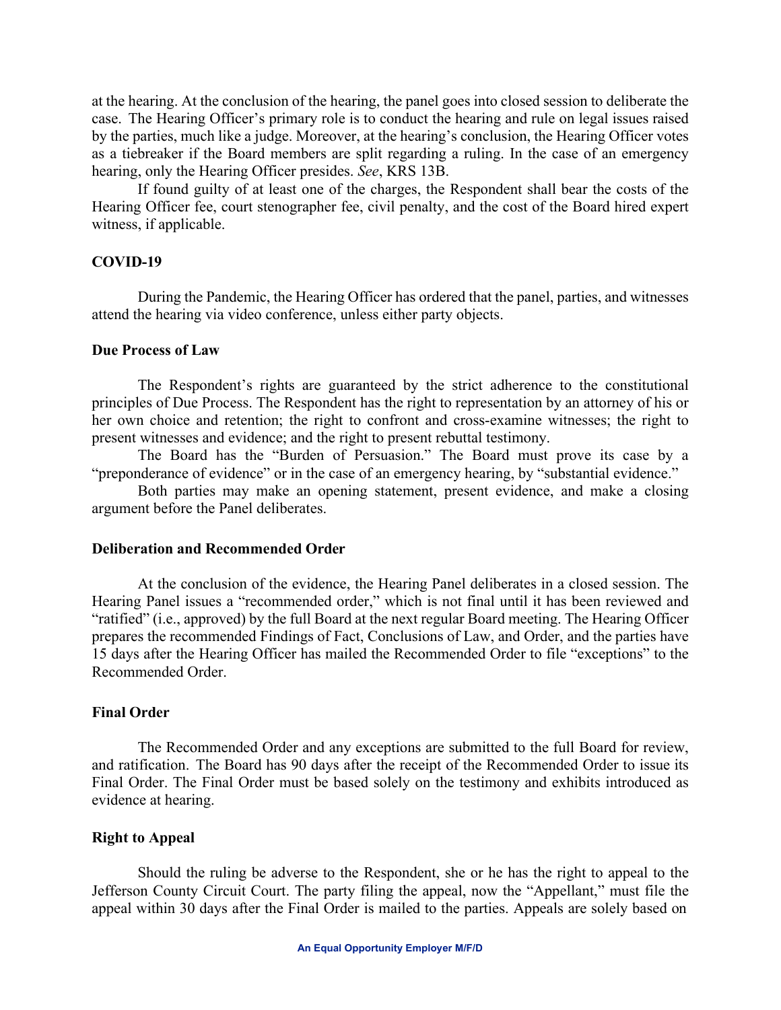at the hearing. At the conclusion of the hearing, the panel goes into closed session to deliberate the case. The Hearing Officer's primary role is to conduct the hearing and rule on legal issues raised by the parties, much like a judge. Moreover, at the hearing's conclusion, the Hearing Officer votes as a tiebreaker if the Board members are split regarding a ruling. In the case of an emergency hearing, only the Hearing Officer presides. *See*, KRS 13B.

If found guilty of at least one of the charges, the Respondent shall bear the costs of the Hearing Officer fee, court stenographer fee, civil penalty, and the cost of the Board hired expert witness, if applicable.

## **COVID-19**

During the Pandemic, the Hearing Officer has ordered that the panel, parties, and witnesses attend the hearing via video conference, unless either party objects.

#### **Due Process of Law**

The Respondent's rights are guaranteed by the strict adherence to the constitutional principles of Due Process. The Respondent has the right to representation by an attorney of his or her own choice and retention; the right to confront and cross-examine witnesses; the right to present witnesses and evidence; and the right to present rebuttal testimony.

The Board has the "Burden of Persuasion." The Board must prove its case by a "preponderance of evidence" or in the case of an emergency hearing, by "substantial evidence."

Both parties may make an opening statement, present evidence, and make a closing argument before the Panel deliberates.

#### **Deliberation and Recommended Order**

At the conclusion of the evidence, the Hearing Panel deliberates in a closed session. The Hearing Panel issues a "recommended order," which is not final until it has been reviewed and "ratified" (i.e., approved) by the full Board at the next regular Board meeting. The Hearing Officer prepares the recommended Findings of Fact, Conclusions of Law, and Order, and the parties have 15 days after the Hearing Officer has mailed the Recommended Order to file "exceptions" to the Recommended Order.

#### **Final Order**

The Recommended Order and any exceptions are submitted to the full Board for review, and ratification. The Board has 90 days after the receipt of the Recommended Order to issue its Final Order. The Final Order must be based solely on the testimony and exhibits introduced as evidence at hearing.

# **Right to Appeal**

Should the ruling be adverse to the Respondent, she or he has the right to appeal to the Jefferson County Circuit Court. The party filing the appeal, now the "Appellant," must file the appeal within 30 days after the Final Order is mailed to the parties. Appeals are solely based on